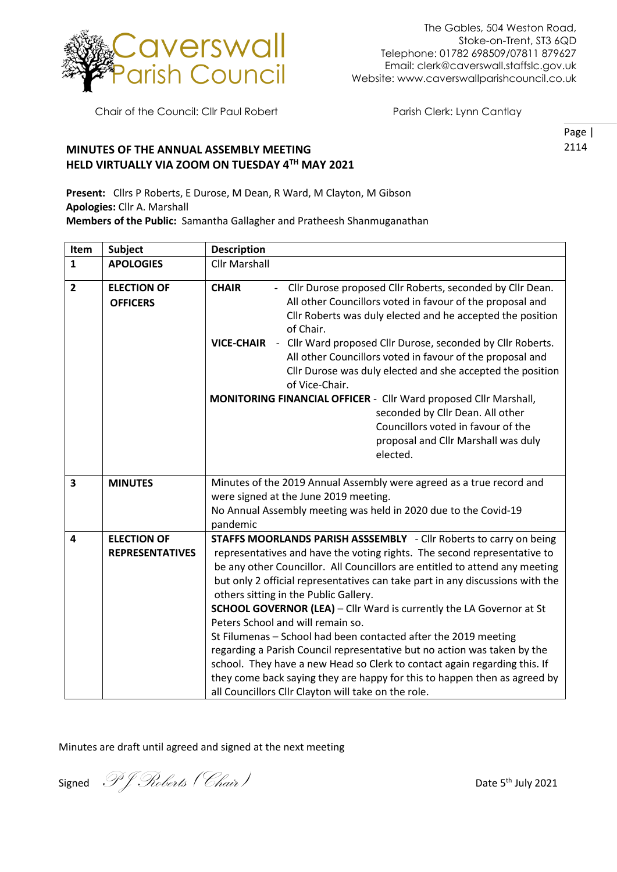

Chair of the Council: Cllr Paul Robert Parish Clerk: Lynn Cantlay

Page | 2114

## **MINUTES OF THE ANNUAL ASSEMBLY MEETING HELD VIRTUALLY VIA ZOOM ON TUESDAY 4TH MAY 2021**

**Present:** Cllrs P Roberts, E Durose, M Dean, R Ward, M Clayton, M Gibson **Apologies:** Cllr A. Marshall **Members of the Public:** Samantha Gallagher and Pratheesh Shanmuganathan

| Item                    | <b>Subject</b>                               | <b>Description</b>                                                                                                                                                                                                                                                                                                                                                                                                                                                                                                                                                                                                                                                                                                                                                                                                                          |
|-------------------------|----------------------------------------------|---------------------------------------------------------------------------------------------------------------------------------------------------------------------------------------------------------------------------------------------------------------------------------------------------------------------------------------------------------------------------------------------------------------------------------------------------------------------------------------------------------------------------------------------------------------------------------------------------------------------------------------------------------------------------------------------------------------------------------------------------------------------------------------------------------------------------------------------|
| $\mathbf{1}$            | <b>APOLOGIES</b>                             | <b>Cllr Marshall</b>                                                                                                                                                                                                                                                                                                                                                                                                                                                                                                                                                                                                                                                                                                                                                                                                                        |
| $\overline{2}$          | <b>ELECTION OF</b><br><b>OFFICERS</b>        | - Cllr Durose proposed Cllr Roberts, seconded by Cllr Dean.<br><b>CHAIR</b><br>All other Councillors voted in favour of the proposal and<br>Cllr Roberts was duly elected and he accepted the position<br>of Chair.<br>VICE-CHAIR - Cllr Ward proposed Cllr Durose, seconded by Cllr Roberts.<br>All other Councillors voted in favour of the proposal and<br>Cllr Durose was duly elected and she accepted the position<br>of Vice-Chair.                                                                                                                                                                                                                                                                                                                                                                                                  |
|                         |                                              | MONITORING FINANCIAL OFFICER - Cllr Ward proposed Cllr Marshall,<br>seconded by Cllr Dean. All other<br>Councillors voted in favour of the<br>proposal and Cllr Marshall was duly<br>elected.                                                                                                                                                                                                                                                                                                                                                                                                                                                                                                                                                                                                                                               |
| 3                       | <b>MINUTES</b>                               | Minutes of the 2019 Annual Assembly were agreed as a true record and<br>were signed at the June 2019 meeting.<br>No Annual Assembly meeting was held in 2020 due to the Covid-19<br>pandemic                                                                                                                                                                                                                                                                                                                                                                                                                                                                                                                                                                                                                                                |
| $\overline{\mathbf{4}}$ | <b>ELECTION OF</b><br><b>REPRESENTATIVES</b> | STAFFS MOORLANDS PARISH ASSSEMBLY - Cllr Roberts to carry on being<br>representatives and have the voting rights. The second representative to<br>be any other Councillor. All Councillors are entitled to attend any meeting<br>but only 2 official representatives can take part in any discussions with the<br>others sitting in the Public Gallery.<br><b>SCHOOL GOVERNOR (LEA)</b> - Cllr Ward is currently the LA Governor at St<br>Peters School and will remain so.<br>St Filumenas - School had been contacted after the 2019 meeting<br>regarding a Parish Council representative but no action was taken by the<br>school. They have a new Head so Clerk to contact again regarding this. If<br>they come back saying they are happy for this to happen then as agreed by<br>all Councillors Cllr Clayton will take on the role. |

Minutes are draft until agreed and signed at the next meeting

Signed  $\mathscr{I}$  *S Chair Date* 5<sup>th</sup> July 2021